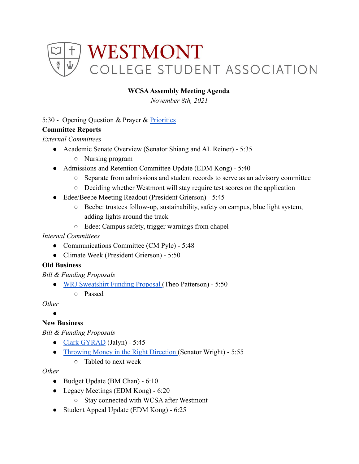

## **WCSAAssembly Meeting Agenda**

*November 8th, 2021*

### 5:30 - Opening Question & Prayer & [Priorities](https://docs.google.com/document/d/1iURbn2CbUzcnBy9kISQQGsuN0VbTgIwOMoTZ_0E0dpA/edit)

### **Committee Reports**

*External Committees*

- Academic Senate Overview (Senator Shiang and AL Reiner) 5:35
	- Nursing program
- Admissions and Retention Committee Update (EDM Kong) 5:40
	- Separate from admissions and student records to serve as an advisory committee
	- Deciding whether Westmont will stay require test scores on the application
- Edee/Beebe Meeting Readout (President Grierson) 5:45
	- Beebe: trustees follow-up, sustainability, safety on campus, blue light system, adding lights around the track
	- Edee: Campus safety, trigger warnings from chapel

#### *Internal Committees*

- Communications Committee (CM Pyle) 5:48
- Climate Week (President Grierson) 5:50

## **Old Business**

*Bill & Funding Proposals*

● [WRJ Sweatshirt Funding Proposal](https://drive.google.com/drive/u/0/folders/1lpBa9euwGHKuq9cLARjDbQxYBe7GiNRT) (Theo Patterson) - 5:50

○ Passed

#### *Other*

**。** 

## **New Business**

*Bill & Funding Proposals*

- [Clark GYRAD](https://drive.google.com/drive/u/0/folders/1lpBa9euwGHKuq9cLARjDbQxYBe7GiNRT) (Jalyn) 5:45
- [Throwing Money in the Right Direction](https://docs.google.com/document/d/1aBSkpUailFUp-BMxH3YL85pfC5WXjfhhWPpLF6mK6NM/edit) (Senator Wright) 5:55
	- Tabled to next week

#### *Other*

- Budget Update (BM Chan) 6:10
- Legacy Meetings (EDM Kong) 6:20
	- Stay connected with WCSA after Westmont
- Student Appeal Update (EDM Kong) 6:25